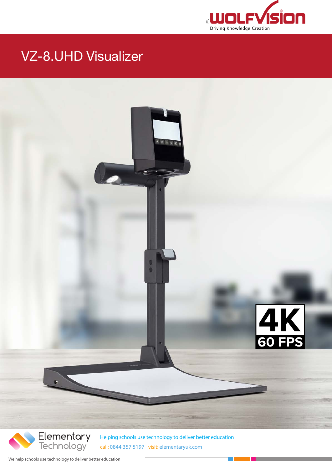

### VZ-8.UHD Visualizer



We help schools use technology to deliver better education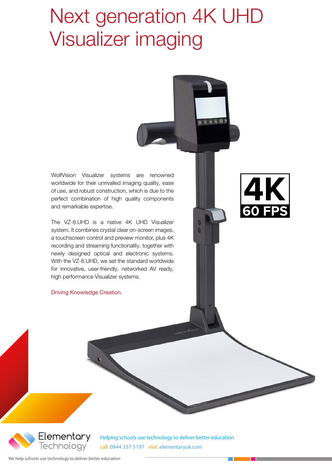## Next generation 4K UHD Visualizer imaging

WolfVision Visualizer systems are renowned worldwide for their unrivalled imaging quality, ease of use, and robust construction, which is due to the perfect combination of high quality components and remarkable expertise.

The VZ-8.UHD is a native 4K UHD Visualizer system. It combines crystal clear on-screen images, a touchscreen control and preview monitor, plus 4K recording and streaming functionality, together with newly designed optical and electronic systems. With the VZ-8.UHD, we set the standard worldwide for innovative, user-friendly, networked AV ready, high performance Visualizer systems.

Driving Knowledge Creation.



医生日

ū

Elementary Technology<sup>-</sup>

Helping schools use technology to deliver better education call: 0844 357 5197 visit: elementaryuk.com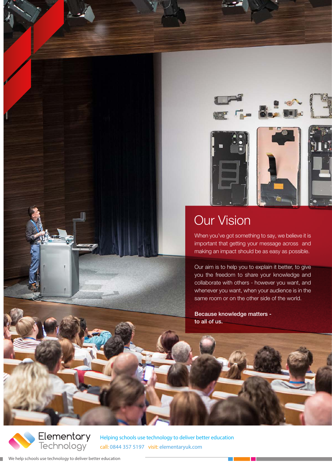

### Our Vision

When you've got something to say, we believe it is important that getting your message across and making an impact should be as easy as possible.

Our aim is to help you to explain it better, to give you the freedom to share your knowledge and collaborate with others - however you want, and whenever you want, when your audience is in the same room or on the other side of the world.

Because knowledge matters to all of us.



۰

Helping schools use technology to deliver better education call: 0844 357 5197 visit: elementaryuk.com

We help schools use technology to deliver better education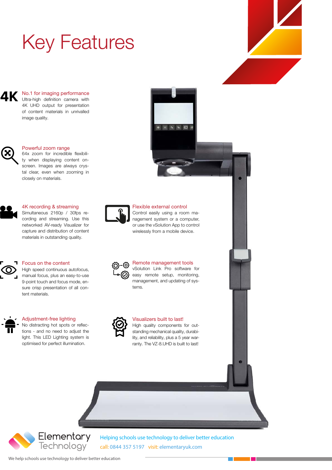# Key Features

No.1 for imaging performance ДK Ultra-high definition camera with 4K UHD output for presentation of content materials in unrivalled image quality.



#### Powerful zoom range

64x zoom for incredible flexibility when displaying content onscreen. Images are always crystal clear, even when zooming in closely on materials.



### 4K recording & streaming

Simultaneous 2160p / 30fps recording and streaming. Use this networked AV-ready Visualizer for capture and distribution of content materials in outstanding quality.



#### Focus on the content

High speed continuous autofocus, manual focus, plus an easy-to-use 9-point touch and focus mode, ensure crisp presentation of all content materials.



#### Adjustment-free lighting

No distracting hot spots or reflections - and no need to adjust the light. This LED Lighting system is optimised for perfect illumination.



#### Flexible external control

● ※ 1 4 五 0

Control easily using a room management system or a computer, or use the vSolution App to control wirelessly from a mobile device.

| {0}<br>{ට}- |
|-------------|
| {⊙}         |

#### Remote management tools

vSolution Link Pro software for easy remote setup, monitoring, management, and updating of systems.



#### Visualizers built to last!

High quality components for outstanding mechanical quality, durability, and reliability, plus a 5 year warranty. The VZ-8.UHD is built to last!



Helping schools use technology to deliver better education call: 0844 357 5197 visit: elementaryuk.com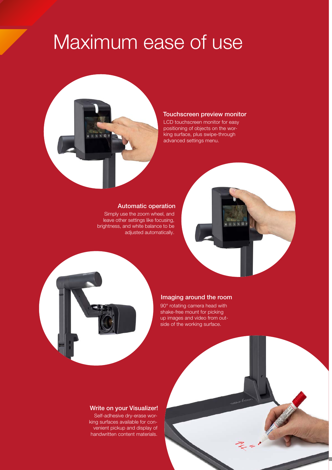## Maximum ease of use



#### Touchscreen preview monitor

LCD touchscreen monitor for easy positioning of objects on the working surface, plus swipe-through advanced settings menu.

#### Automatic operation

Simply use the zoom wheel, and leave other settings like focusing, brightness, and white balance to be adjusted automatically.





#### Imaging around the room

90° rotating camera head with shake-free mount for picking up images and video from outside of the working surface.

#### Write on your Visualizer!

handwritten content materials. Self-adhesive dry-erase working surfaces available for convenient pickup and display of

call: 0844 357 5197 visit: elementaryuk.com